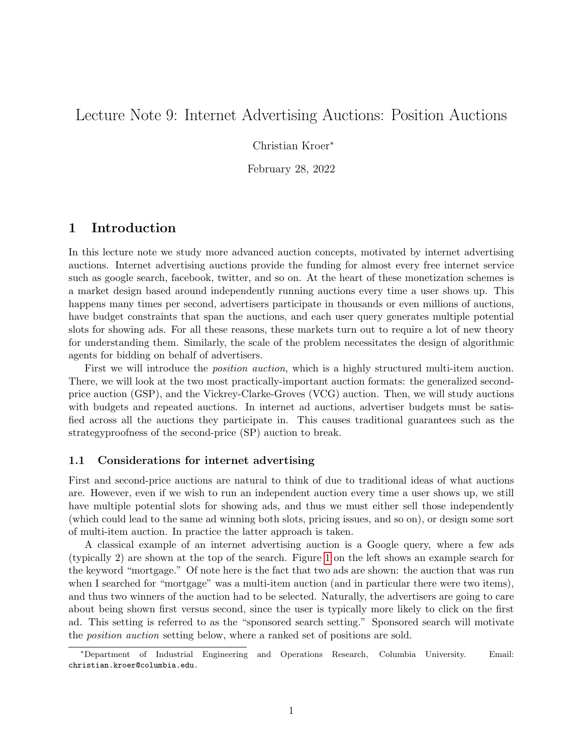# Lecture Note 9: Internet Advertising Auctions: Position Auctions

Christian Kroer<sup>∗</sup>

February 28, 2022

# 1 Introduction

In this lecture note we study more advanced auction concepts, motivated by internet advertising auctions. Internet advertising auctions provide the funding for almost every free internet service such as google search, facebook, twitter, and so on. At the heart of these monetization schemes is a market design based around independently running auctions every time a user shows up. This happens many times per second, advertisers participate in thousands or even millions of auctions, have budget constraints that span the auctions, and each user query generates multiple potential slots for showing ads. For all these reasons, these markets turn out to require a lot of new theory for understanding them. Similarly, the scale of the problem necessitates the design of algorithmic agents for bidding on behalf of advertisers.

First we will introduce the *position auction*, which is a highly structured multi-item auction. There, we will look at the two most practically-important auction formats: the generalized secondprice auction (GSP), and the Vickrey-Clarke-Groves (VCG) auction. Then, we will study auctions with budgets and repeated auctions. In internet ad auctions, advertiser budgets must be satisfied across all the auctions they participate in. This causes traditional guarantees such as the strategyproofness of the second-price (SP) auction to break.

### 1.1 Considerations for internet advertising

First and second-price auctions are natural to think of due to traditional ideas of what auctions are. However, even if we wish to run an independent auction every time a user shows up, we still have multiple potential slots for showing ads, and thus we must either sell those independently (which could lead to the same ad winning both slots, pricing issues, and so on), or design some sort of multi-item auction. In practice the latter approach is taken.

A classical example of an internet advertising auction is a Google query, where a few ads (typically 2) are shown at the top of the search. Figure [1](#page-1-0) on the left shows an example search for the keyword "mortgage." Of note here is the fact that two ads are shown: the auction that was run when I searched for "mortgage" was a multi-item auction (and in particular there were two items), and thus two winners of the auction had to be selected. Naturally, the advertisers are going to care about being shown first versus second, since the user is typically more likely to click on the first ad. This setting is referred to as the "sponsored search setting." Sponsored search will motivate the position auction setting below, where a ranked set of positions are sold.

<sup>∗</sup>Department of Industrial Engineering and Operations Research, Columbia University. Email: christian.kroer@columbia.edu.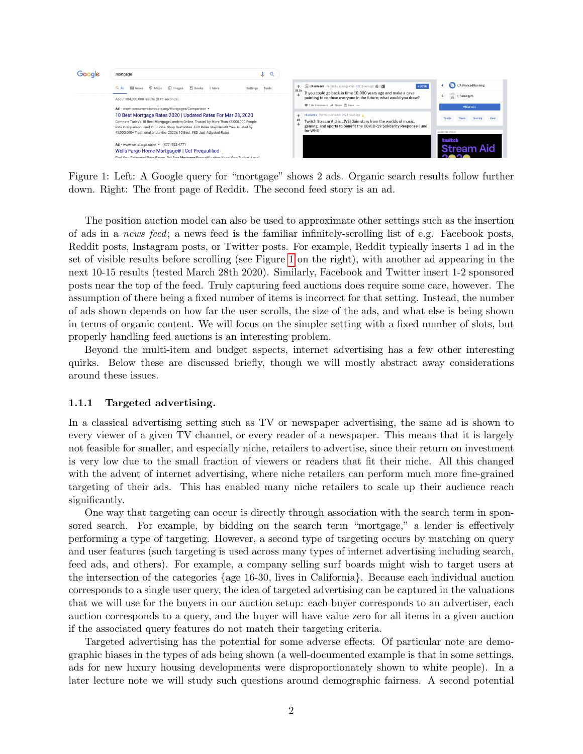

<span id="page-1-0"></span>Figure 1: Left: A Google query for "mortgage" shows 2 ads. Organic search results follow further down. Right: The front page of Reddit. The second feed story is an ad.

The position auction model can also be used to approximate other settings such as the insertion of ads in a news feed; a news feed is the familiar infinitely-scrolling list of e.g. Facebook posts, Reddit posts, Instagram posts, or Twitter posts. For example, Reddit typically inserts 1 ad in the set of visible results before scrolling (see Figure [1](#page-1-0) on the right), with another ad appearing in the next 10-15 results (tested March 28th 2020). Similarly, Facebook and Twitter insert 1-2 sponsored posts near the top of the feed. Truly capturing feed auctions does require some care, however. The assumption of there being a fixed number of items is incorrect for that setting. Instead, the number of ads shown depends on how far the user scrolls, the size of the ads, and what else is being shown in terms of organic content. We will focus on the simpler setting with a fixed number of slots, but properly handling feed auctions is an interesting problem.

Beyond the multi-item and budget aspects, internet advertising has a few other interesting quirks. Below these are discussed briefly, though we will mostly abstract away considerations around these issues.

### 1.1.1 Targeted advertising.

In a classical advertising setting such as TV or newspaper advertising, the same ad is shown to every viewer of a given TV channel, or every reader of a newspaper. This means that it is largely not feasible for smaller, and especially niche, retailers to advertise, since their return on investment is very low due to the small fraction of viewers or readers that fit their niche. All this changed with the advent of internet advertising, where niche retailers can perform much more fine-grained targeting of their ads. This has enabled many niche retailers to scale up their audience reach significantly.

One way that targeting can occur is directly through association with the search term in sponsored search. For example, by bidding on the search term "mortgage," a lender is effectively performing a type of targeting. However, a second type of targeting occurs by matching on query and user features (such targeting is used across many types of internet advertising including search, feed ads, and others). For example, a company selling surf boards might wish to target users at the intersection of the categories {age 16-30, lives in California}. Because each individual auction corresponds to a single user query, the idea of targeted advertising can be captured in the valuations that we will use for the buyers in our auction setup: each buyer corresponds to an advertiser, each auction corresponds to a query, and the buyer will have value zero for all items in a given auction if the associated query features do not match their targeting criteria.

Targeted advertising has the potential for some adverse effects. Of particular note are demographic biases in the types of ads being shown (a well-documented example is that in some settings, ads for new luxury housing developments were disproportionately shown to white people). In a later lecture note we will study such questions around demographic fairness. A second potential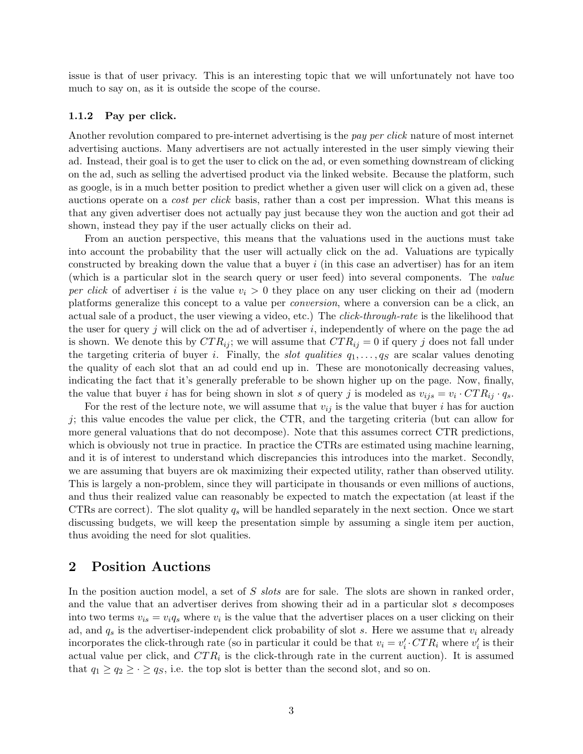issue is that of user privacy. This is an interesting topic that we will unfortunately not have too much to say on, as it is outside the scope of the course.

#### 1.1.2 Pay per click.

Another revolution compared to pre-internet advertising is the pay per click nature of most internet advertising auctions. Many advertisers are not actually interested in the user simply viewing their ad. Instead, their goal is to get the user to click on the ad, or even something downstream of clicking on the ad, such as selling the advertised product via the linked website. Because the platform, such as google, is in a much better position to predict whether a given user will click on a given ad, these auctions operate on a cost per click basis, rather than a cost per impression. What this means is that any given advertiser does not actually pay just because they won the auction and got their ad shown, instead they pay if the user actually clicks on their ad.

From an auction perspective, this means that the valuations used in the auctions must take into account the probability that the user will actually click on the ad. Valuations are typically constructed by breaking down the value that a buyer i (in this case an advertiser) has for an item (which is a particular slot in the search query or user feed) into several components. The value per click of advertiser i is the value  $v_i > 0$  they place on any user clicking on their ad (modern platforms generalize this concept to a value per conversion, where a conversion can be a click, an actual sale of a product, the user viewing a video, etc.) The click-through-rate is the likelihood that the user for query j will click on the ad of advertiser  $i$ , independently of where on the page the ad is shown. We denote this by  $CTR_{ij}$ ; we will assume that  $CTR_{ij} = 0$  if query j does not fall under the targeting criteria of buyer *i*. Finally, the *slot qualities*  $q_1, \ldots, q_s$  are scalar values denoting the quality of each slot that an ad could end up in. These are monotonically decreasing values, indicating the fact that it's generally preferable to be shown higher up on the page. Now, finally, the value that buyer *i* has for being shown in slot *s* of query *j* is modeled as  $v_{ijs} = v_i \cdot CTR_{ij} \cdot q_s$ .

For the rest of the lecture note, we will assume that  $v_{ij}$  is the value that buyer i has for auction j; this value encodes the value per click, the CTR, and the targeting criteria (but can allow for more general valuations that do not decompose). Note that this assumes correct CTR predictions, which is obviously not true in practice. In practice the CTRs are estimated using machine learning, and it is of interest to understand which discrepancies this introduces into the market. Secondly, we are assuming that buyers are ok maximizing their expected utility, rather than observed utility. This is largely a non-problem, since they will participate in thousands or even millions of auctions, and thus their realized value can reasonably be expected to match the expectation (at least if the CTRs are correct). The slot quality  $q_s$  will be handled separately in the next section. Once we start discussing budgets, we will keep the presentation simple by assuming a single item per auction, thus avoiding the need for slot qualities.

### 2 Position Auctions

In the position auction model, a set of S slots are for sale. The slots are shown in ranked order, and the value that an advertiser derives from showing their ad in a particular slot s decomposes into two terms  $v_{is} = v_i q_s$  where  $v_i$  is the value that the advertiser places on a user clicking on their ad, and  $q_s$  is the advertiser-independent click probability of slot s. Here we assume that  $v_i$  already incorporates the click-through rate (so in particular it could be that  $v_i = v'_i \cdot CTR_i$  where  $v'_i$  is their actual value per click, and  $CTR_i$  is the click-through rate in the current auction). It is assumed that  $q_1 \ge q_2 \ge \cdot \ge q_s$ , i.e. the top slot is better than the second slot, and so on.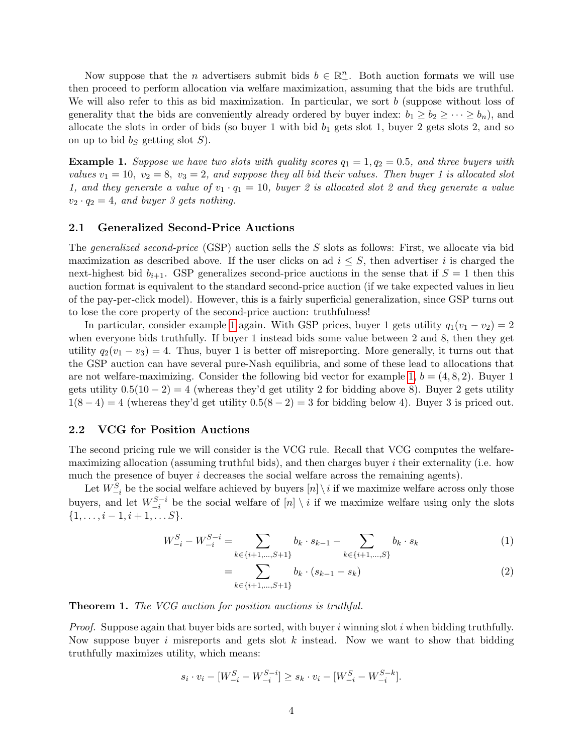Now suppose that the *n* advertisers submit bids  $b \in \mathbb{R}^n_+$ . Both auction formats we will use then proceed to perform allocation via welfare maximization, assuming that the bids are truthful. We will also refer to this as bid maximization. In particular, we sort  $b$  (suppose without loss of generality that the bids are conveniently already ordered by buyer index:  $b_1 \geq b_2 \geq \cdots \geq b_n$ , and allocate the slots in order of bids (so buyer 1 with bid  $b_1$  gets slot 1, buyer 2 gets slots 2, and so on up to bid  $b<sub>S</sub>$  getting slot S).

<span id="page-3-0"></span>**Example 1.** Suppose we have two slots with quality scores  $q_1 = 1, q_2 = 0.5$ , and three buyers with values  $v_1 = 10$ ,  $v_2 = 8$ ,  $v_3 = 2$ , and suppose they all bid their values. Then buyer 1 is allocated slot 1, and they generate a value of  $v_1 \cdot q_1 = 10$ , buyer 2 is allocated slot 2 and they generate a value  $v_2 \cdot q_2 = 4$ , and buyer 3 gets nothing.

### 2.1 Generalized Second-Price Auctions

The generalized second-price (GSP) auction sells the S slots as follows: First, we allocate via bid maximization as described above. If the user clicks on ad  $i \leq S$ , then advertiser i is charged the next-highest bid  $b_{i+1}$ . GSP generalizes second-price auctions in the sense that if  $S = 1$  then this auction format is equivalent to the standard second-price auction (if we take expected values in lieu of the pay-per-click model). However, this is a fairly superficial generalization, since GSP turns out to lose the core property of the second-price auction: truthfulness!

In particular, consider example [1](#page-3-0) again. With GSP prices, buyer 1 gets utility  $q_1(v_1 - v_2) = 2$ when everyone bids truthfully. If buyer 1 instead bids some value between 2 and 8, then they get utility  $q_2(v_1 - v_3) = 4$ . Thus, buyer 1 is better off misreporting. More generally, it turns out that the GSP auction can have several pure-Nash equilibria, and some of these lead to allocations that are not welfare-maximizing. Consider the following bid vector for example [1,](#page-3-0)  $b = (4, 8, 2)$ . Buyer 1 gets utility  $0.5(10-2) = 4$  (whereas they'd get utility 2 for bidding above 8). Buyer 2 gets utility  $1(8-4) = 4$  (whereas they'd get utility  $0.5(8-2) = 3$  for bidding below 4). Buyer 3 is priced out.

#### 2.2 VCG for Position Auctions

The second pricing rule we will consider is the VCG rule. Recall that VCG computes the welfaremaximizing allocation (assuming truthful bids), and then charges buyer i their externality (i.e. how much the presence of buyer  $i$  decreases the social welfare across the remaining agents).

Let  $W_{-i}^S$  be the social welfare achieved by buyers  $[n] \setminus i$  if we maximize welfare across only those buyers, and let  $W_{-i}^{S-i}$  be the social welfare of  $[n] \setminus i$  if we maximize welfare using only the slots  $\{1, \ldots, i-1, i+1, \ldots S\}.$ 

$$
W_{-i}^{S} - W_{-i}^{S-i} = \sum_{k \in \{i+1, \dots, S+1\}} b_k \cdot s_{k-1} - \sum_{k \in \{i+1, \dots, S\}} b_k \cdot s_k \tag{1}
$$

$$
= \sum_{k \in \{i+1,\dots,S+1\}} b_k \cdot (s_{k-1} - s_k) \tag{2}
$$

Theorem 1. The VCG auction for position auctions is truthful.

*Proof.* Suppose again that buyer bids are sorted, with buyer i winning slot i when bidding truthfully. Now suppose buyer i misreports and gets slot k instead. Now we want to show that bidding truthfully maximizes utility, which means:

$$
s_i \cdot v_i - [W_{-i}^S - W_{-i}^{S-i}] \ge s_k \cdot v_i - [W_{-i}^S - W_{-i}^{S-k}].
$$